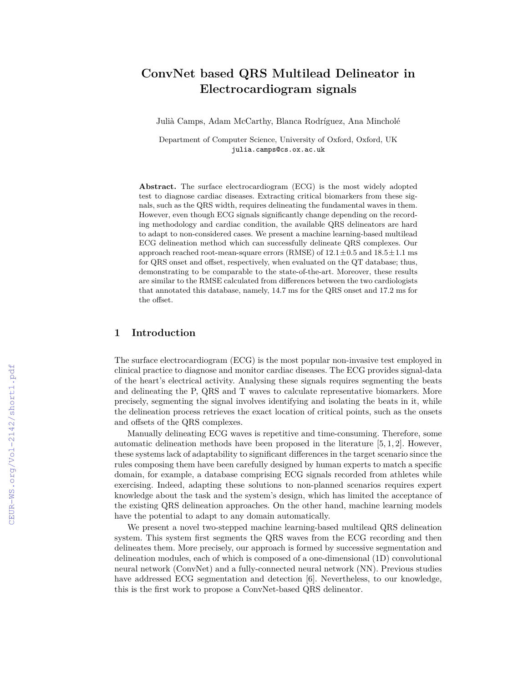# **ConvNet based QRS Multilead Delineator in Electrocardiogram signals**

Julià Camps, Adam McCarthy, Blanca Rodríguez, Ana Mincholé

Department of Computer Science, University of Oxford, Oxford, UK julia.camps@cs.ox.ac.uk

**Abstract.** The surface electrocardiogram (ECG) is the most widely adopted test to diagnose cardiac diseases. Extracting critical biomarkers from these signals, such as the QRS width, requires delineating the fundamental waves in them. However, even though ECG signals significantly change depending on the recording methodology and cardiac condition, the available QRS delineators are hard to adapt to non-considered cases. We present a machine learning-based multilead ECG delineation method which can successfully delineate QRS complexes. Our approach reached root-mean-square errors (RMSE) of  $12.1 \pm 0.5$  and  $18.5 \pm 1.1$  ms for QRS onset and offset, respectively, when evaluated on the QT database; thus, demonstrating to be comparable to the state-of-the-art. Moreover, these results are similar to the RMSE calculated from differences between the two cardiologists that annotated this database, namely, 14*.*7 ms for the QRS onset and 17*.*2 ms for the offset.

# **1 Introduction**

The surface electrocardiogram (ECG) is the most popular non-invasive test employed in clinical practice to diagnose and monitor cardiac diseases. The ECG provides signal-data of the heart's electrical activity. Analysing these signals requires segmenting the beats and delineating the P, QRS and T waves to calculate representative biomarkers. More precisely, segmenting the signal involves identifying and isolating the beats in it, while the delineation process retrieves the exact location of critical points, such as the onsets and offsets of the QRS complexes.

Manually delineating ECG waves is repetitive and time-consuming. Therefore, some automatic delineation methods have been proposed in the literature  $[5, 1, 2]$ . However, these systems lack of adaptability to significant differences in the target scenario since the rules composing them have been carefully designed by human experts to match a specific domain, for example, a database comprising ECG signals recorded from athletes while exercising. Indeed, adapting these solutions to non-planned scenarios requires expert knowledge about the task and the system's design, which has limited the acceptance of the existing QRS delineation approaches. On the other hand, machine learning models have the potential to adapt to any domain automatically.

We present a novel two-stepped machine learning-based multilead QRS delineation system. This system first segments the QRS waves from the ECG recording and then delineates them. More precisely, our approach is formed by successive segmentation and delineation modules, each of which is composed of a one-dimensional (1D) convolutional neural network (ConvNet) and a fully-connected neural network (NN). Previous studies have addressed ECG segmentation and detection [6]. Nevertheless, to our knowledge, this is the first work to propose a ConvNet-based QRS delineator.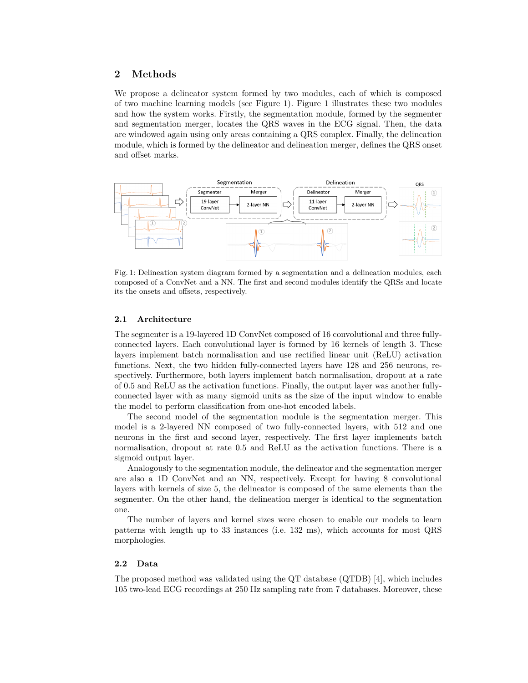## **2 Methods**

We propose a delineator system formed by two modules, each of which is composed of two machine learning models (see Figure 1). Figure 1 illustrates these two modules and how the system works. Firstly, the segmentation module, formed by the segmenter and segmentation merger, locates the QRS waves in the ECG signal. Then, the data are windowed again using only areas containing a QRS complex. Finally, the delineation module, which is formed by the delineator and delineation merger, defines the QRS onset and offset marks.



Fig. 1: Delineation system diagram formed by a segmentation and a delineation modules, each composed of a ConvNet and a NN. The first and second modules identify the QRSs and locate its the onsets and offsets, respectively.

#### **2.1 Architecture**

The segmenter is a 19-layered 1D ConvNet composed of 16 convolutional and three fullyconnected layers. Each convolutional layer is formed by 16 kernels of length 3. These layers implement batch normalisation and use rectified linear unit (ReLU) activation functions. Next, the two hidden fully-connected layers have 128 and 256 neurons, respectively. Furthermore, both layers implement batch normalisation, dropout at a rate of 0.5 and ReLU as the activation functions. Finally, the output layer was another fullyconnected layer with as many sigmoid units as the size of the input window to enable the model to perform classification from one-hot encoded labels.

The second model of the segmentation module is the segmentation merger. This model is a 2-layered NN composed of two fully-connected layers, with 512 and one neurons in the first and second layer, respectively. The first layer implements batch normalisation, dropout at rate 0.5 and ReLU as the activation functions. There is a sigmoid output layer.

Analogously to the segmentation module, the delineator and the segmentation merger are also a 1D ConvNet and an NN, respectively. Except for having 8 convolutional layers with kernels of size 5, the delineator is composed of the same elements than the segmenter. On the other hand, the delineation merger is identical to the segmentation one.

The number of layers and kernel sizes were chosen to enable our models to learn patterns with length up to 33 instances (i.e. 132 ms), which accounts for most QRS morphologies.

## **2.2 Data**

The proposed method was validated using the QT database (QTDB) [4], which includes 105 two-lead ECG recordings at 250 Hz sampling rate from 7 databases. Moreover, these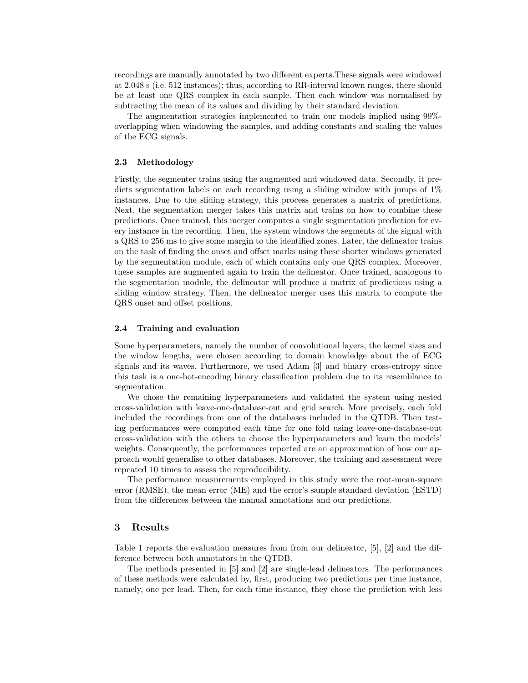recordings are manually annotated by two different experts.These signals were windowed at 2.048 s (i.e. 512 instances); thus, according to RR-interval known ranges, there should be at least one QRS complex in each sample. Then each window was normalised by subtracting the mean of its values and dividing by their standard deviation.

The augmentation strategies implemented to train our models implied using 99% overlapping when windowing the samples, and adding constants and scaling the values of the ECG signals.

## **2.3 Methodology**

Firstly, the segmenter trains using the augmented and windowed data. Secondly, it predicts segmentation labels on each recording using a sliding window with jumps of 1% instances. Due to the sliding strategy, this process generates a matrix of predictions. Next, the segmentation merger takes this matrix and trains on how to combine these predictions. Once trained, this merger computes a single segmentation prediction for every instance in the recording. Then, the system windows the segments of the signal with a QRS to 256 ms to give some margin to the identified zones. Later, the delineator trains on the task of finding the onset and offset marks using these shorter windows generated by the segmentation module, each of which contains only one QRS complex. Moreover, these samples are augmented again to train the delineator. Once trained, analogous to the segmentation module, the delineator will produce a matrix of predictions using a sliding window strategy. Then, the delineator merger uses this matrix to compute the QRS onset and offset positions.

#### **2.4 Training and evaluation**

Some hyperparameters, namely the number of convolutional layers, the kernel sizes and the window lengths, were chosen according to domain knowledge about the of ECG signals and its waves. Furthermore, we used Adam [3] and binary cross-entropy since this task is a one-hot-encoding binary classification problem due to its resemblance to segmentation.

We chose the remaining hyperparameters and validated the system using nested cross-validation with leave-one-database-out and grid search. More precisely, each fold included the recordings from one of the databases included in the QTDB. Then testing performances were computed each time for one fold using leave-one-database-out cross-validation with the others to choose the hyperparameters and learn the models' weights. Consequently, the performances reported are an approximation of how our approach would generalise to other databases. Moreover, the training and assessment were repeated 10 times to assess the reproducibility.

The performance measurements employed in this study were the root-mean-square error (RMSE), the mean error (ME) and the error's sample standard deviation (ESTD) from the differences between the manual annotations and our predictions.

## **3 Results**

Table 1 reports the evaluation measures from from our delineator, [5], [2] and the difference between both annotators in the QTDB.

The methods presented in [5] and [2] are single-lead delineators. The performances of these methods were calculated by, first, producing two predictions per time instance, namely, one per lead. Then, for each time instance, they chose the prediction with less